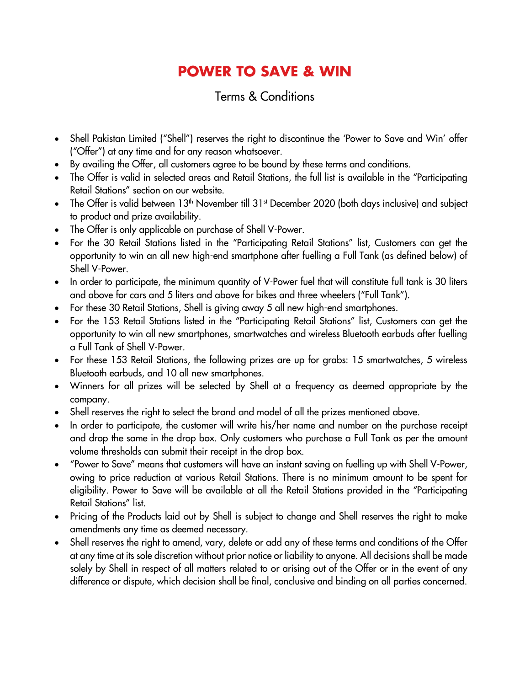## **POWER TO SAVE & WIN**

## Terms & Conditions

- Shell Pakistan Limited ("Shell") reserves the right to discontinue the 'Power to Save and Win' offer ("Offer") at any time and for any reason whatsoever.
- By availing the Offer, all customers agree to be bound by these terms and conditions.
- The Offer is valid in selected areas and Retail Stations, the full list is available in the "Participating Retail Stations" section on our website.
- The Offer is valid between 13<sup>th</sup> November till 31<sup>st</sup> December 2020 (both days inclusive) and subject to product and prize availability.
- The Offer is only applicable on purchase of Shell V-Power.
- For the 30 Retail Stations listed in the "Participating Retail Stations" list, Customers can get the opportunity to win an all new high-end smartphone after fuelling a Full Tank (as defined below) of Shell V-Power.
- In order to participate, the minimum quantity of V-Power fuel that will constitute full tank is 30 liters and above for cars and 5 liters and above for bikes and three wheelers ("Full Tank").
- For these 30 Retail Stations, Shell is giving away 5 all new high-end smartphones.
- For the 153 Retail Stations listed in the "Participating Retail Stations" list, Customers can get the opportunity to win all new smartphones, smartwatches and wireless Bluetooth earbuds after fuelling a Full Tank of Shell V-Power.
- For these 153 Retail Stations, the following prizes are up for grabs: 15 smartwatches, 5 wireless Bluetooth earbuds, and 10 all new smartphones.
- Winners for all prizes will be selected by Shell at a frequency as deemed appropriate by the company.
- Shell reserves the right to select the brand and model of all the prizes mentioned above.
- In order to participate, the customer will write his/her name and number on the purchase receipt and drop the same in the drop box. Only customers who purchase a Full Tank as per the amount volume thresholds can submit their receipt in the drop box.
- "Power to Save" means that customers will have an instant saving on fuelling up with Shell V-Power, owing to price reduction at various Retail Stations. There is no minimum amount to be spent for eligibility. Power to Save will be available at all the Retail Stations provided in the "Participating Retail Stations" list.
- Pricing of the Products laid out by Shell is subject to change and Shell reserves the right to make amendments any time as deemed necessary.
- Shell reserves the right to amend, vary, delete or add any of these terms and conditions of the Offer at any time at its sole discretion without prior notice or liability to anyone. All decisions shall be made solely by Shell in respect of all matters related to or arising out of the Offer or in the event of any difference or dispute, which decision shall be final, conclusive and binding on all parties concerned.